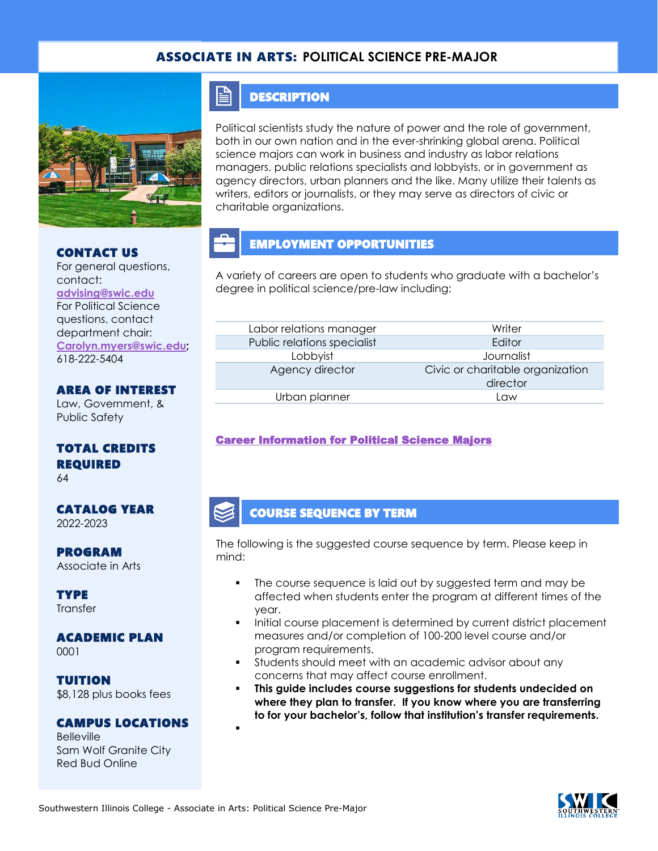### ASSOCIATE IN ARTS: **POLITICAL SCIENCE PRE-MAJOR**



#### CONTACT US

For general questions, contact: **[advising@swic.edu](mailto:advising@swic.edu)** For Political Science questions, contact department chair: **[Carolyn.myers@swic.edu;](mailto:Carolyn.myers@swic.edu)** 618-222-5404

### AREA OF INTEREST

Law, Government, & Public Safety

### TOTAL CREDITS REQUIRED

64

#### CATALOG YEAR 2022-2023

PROGRAM Associate in Arts

**TYPE Transfer** 

# ACADEMIC PLAN

0001

TUITION \$8,128 plus books fees

#### CAMPUS LOCATIONS

▪

Belleville Sam Wolf Granite City Red Bud Online

### **DESCRIPTION**

F

Political scientists study the nature of power and the role of government, both in our own nation and in the ever-shrinking global arena. Political science majors can work in business and industry as labor relations managers, public relations specialists and lobbyists, or in government as agency directors, urban planners and the like. Many utilize their talents as writers, editors or journalists, or they may serve as directors of civic or charitable organizations.

# EMPLOYMENT OPPORTUNITIES

A variety of careers are open to students who graduate with a bachelor's degree in political science/pre-law including:

| Labor relations manager     | Writer                                       |
|-----------------------------|----------------------------------------------|
| Public relations specialist | Editor                                       |
| Lobbyist                    | Journalist                                   |
| Agency director             | Civic or charitable organization<br>director |
| Urban planner               | l aw                                         |

### [Career Information for Political Science Majors](https://www.onetonline.org/find/quick?s=political+science)

### COURSE SEQUENCE BY TERM

The following is the suggested course sequence by term. Please keep in mind:

- The course sequence is laid out by suggested term and may be affected when students enter the program at different times of the year.
- Initial course placement is determined by current district placement measures and/or completion of 100-200 level course and/or program requirements.
- Students should meet with an academic advisor about any concerns that may affect course enrollment.
- **This guide includes course suggestions for students undecided on where they plan to transfer. If you know where you are transferring to for your bachelor's, follow that institution's transfer requirements.**